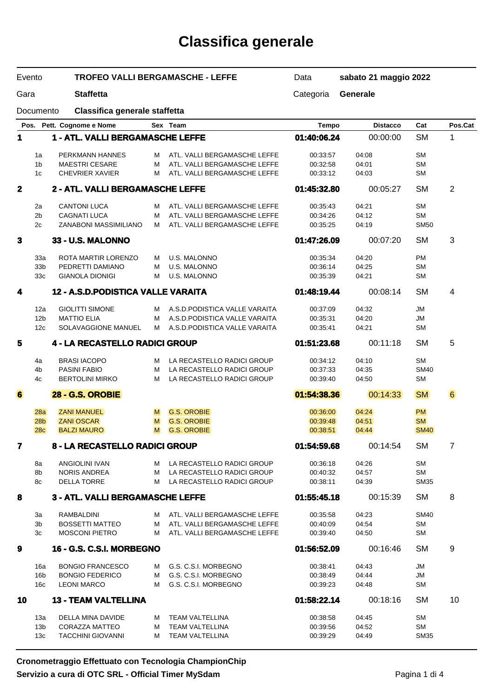# **Classifica generale**

| Evento<br>Gara |                        |                                         | <b>TROFEO VALLI BERGAMASCHE - LEFFE</b><br><b>Staffetta</b> |                                                  |                      | sabato 21 maggio 2022 |                        |                |  |
|----------------|------------------------|-----------------------------------------|-------------------------------------------------------------|--------------------------------------------------|----------------------|-----------------------|------------------------|----------------|--|
|                |                        |                                         |                                                             |                                                  |                      | Generale              |                        |                |  |
|                | Documento              | Classifica generale staffetta           |                                                             |                                                  |                      |                       |                        |                |  |
| Pos.           |                        | Pett. Cognome e Nome                    |                                                             | Sex Team                                         | <b>Tempo</b>         | <b>Distacco</b>       | Cat                    | Pos.Cat        |  |
| 1              |                        | 1 - ATL. VALLI BERGAMASCHE LEFFE        |                                                             |                                                  | 01:40:06.24          | 00:00:00              | <b>SM</b>              | 1              |  |
|                | 1a                     | PERKMANN HANNES                         | м                                                           | ATL. VALLI BERGAMASCHE LEFFE                     | 00:33:57             | 04:08                 | <b>SM</b>              |                |  |
|                | 1 <sub>b</sub>         | <b>MAESTRI CESARE</b>                   | м                                                           | ATL. VALLI BERGAMASCHE LEFFE                     | 00:32:58             | 04:01                 | <b>SM</b>              |                |  |
|                | 1c                     | <b>CHEVRIER XAVIER</b>                  | м                                                           | ATL. VALLI BERGAMASCHE LEFFE                     | 00:33:12             | 04:03                 | <b>SM</b>              |                |  |
| $\mathbf 2$    |                        | 2 - ATL. VALLI BERGAMASCHE LEFFE        |                                                             |                                                  | 01:45:32.80          | 00:05:27              | <b>SM</b>              | $\overline{2}$ |  |
|                | 2a                     | <b>CANTONI LUCA</b>                     | М                                                           | ATL. VALLI BERGAMASCHE LEFFE                     | 00:35:43             | 04:21                 | <b>SM</b>              |                |  |
|                | 2 <sub>b</sub>         | <b>CAGNATI LUCA</b>                     | м                                                           | ATL. VALLI BERGAMASCHE LEFFE                     | 00:34:26             | 04:12                 | <b>SM</b>              |                |  |
|                | 2c                     | ZANABONI MASSIMILIANO                   | м                                                           | ATL. VALLI BERGAMASCHE LEFFE                     | 00:35:25             | 04:19                 | <b>SM50</b>            |                |  |
| 3              |                        | 33 - U.S. MALONNO                       |                                                             |                                                  | 01:47:26.09          | 00:07:20              | <b>SM</b>              | 3              |  |
|                |                        |                                         |                                                             |                                                  |                      |                       |                        |                |  |
|                | 33a<br>33 <sub>b</sub> | ROTA MARTIR LORENZO<br>PEDRETTI DAMIANO | м<br>М                                                      | U.S. MALONNO<br><b>U.S. MALONNO</b>              | 00:35:34<br>00:36:14 | 04:20<br>04:25        | <b>PM</b><br><b>SM</b> |                |  |
|                | 33 <sub>c</sub>        | <b>GIANOLA DIONIGI</b>                  | м                                                           | <b>U.S. MALONNO</b>                              | 00:35:39             | 04:21                 | <b>SM</b>              |                |  |
|                |                        |                                         |                                                             |                                                  |                      |                       |                        |                |  |
| 4              |                        | 12 - A.S.D.PODISTICA VALLE VARAITA      |                                                             |                                                  | 01:48:19.44          | 00:08:14              | <b>SM</b>              | 4              |  |
|                | 12a                    | <b>GIOLITTI SIMONE</b>                  | M                                                           | A.S.D. PODISTICA VALLE VARAITA                   | 00:37:09             | 04:32                 | <b>JM</b>              |                |  |
|                | 12 <sub>b</sub>        | <b>MATTIO ELIA</b>                      | м                                                           | A.S.D. PODISTICA VALLE VARAITA                   | 00:35:31             | 04:20                 | JM                     |                |  |
|                | 12c                    | SOLAVAGGIONE MANUEL                     | м                                                           | A.S.D.PODISTICA VALLE VARAITA                    | 00:35:41             | 04:21                 | <b>SM</b>              |                |  |
| 5              |                        | 4 - LA RECASTELLO RADICI GROUP          |                                                             |                                                  | 01:51:23.68          | 00:11:18              | <b>SM</b>              | 5              |  |
|                | 4a                     | <b>BRASI IACOPO</b>                     | м                                                           | LA RECASTELLO RADICI GROUP                       | 00:34:12             | 04:10                 | <b>SM</b>              |                |  |
|                | 4 <sub>b</sub>         | <b>PASINI FABIO</b>                     | М                                                           | LA RECASTELLO RADICI GROUP                       | 00:37:33             | 04:35                 | <b>SM40</b>            |                |  |
|                | 4c                     | <b>BERTOLINI MIRKO</b>                  | М                                                           | LA RECASTELLO RADICI GROUP                       | 00:39:40             | 04:50                 | <b>SM</b>              |                |  |
| $6\phantom{a}$ |                        | <b>28 - G.S. OROBIE</b>                 |                                                             |                                                  | 01:54:38.36          | 00:14:33              | <b>SM</b>              | 6              |  |
|                | 28a                    | <b>ZANI MANUEL</b>                      | M                                                           | <b>G.S. OROBIE</b>                               | 00:36:00             | 04:24                 | <b>PM</b>              |                |  |
|                | 28 <sub>b</sub>        | <b>ZANI OSCAR</b>                       | M                                                           | <b>G.S. OROBIE</b>                               | 00:39:48             | 04:51                 | <b>SM</b>              |                |  |
|                | <b>28c</b>             | <b>BALZI MAURO</b>                      | M                                                           | <b>G.S. OROBIE</b>                               | 00:38:51             | 04:44                 | <b>SM40</b>            |                |  |
| 7              |                        | 8 - LA RECASTELLO RADICI GROUP          |                                                             |                                                  | 01:54:59.68          | 00:14:54              | SM                     | 7              |  |
|                | 8a                     | ANGIOLINI IVAN                          | м                                                           | LA RECASTELLO RADICI GROUP                       | 00:36:18             | 04:26                 | <b>SM</b>              |                |  |
|                | 8b                     | <b>NORIS ANDREA</b>                     | м                                                           | LA RECASTELLO RADICI GROUP                       | 00:40:32             | 04:57                 | <b>SM</b>              |                |  |
|                | 8с                     | <b>DELLA TORRE</b>                      | м                                                           | LA RECASTELLO RADICI GROUP                       | 00:38:11             | 04:39                 | <b>SM35</b>            |                |  |
| 8              |                        | 3 - ATL. VALLI BERGAMASCHE LEFFE        |                                                             |                                                  | 01:55:45.18          | 00:15:39              | <b>SM</b>              | 8              |  |
|                | За                     | RAMBALDINI                              | M                                                           | ATL. VALLI BERGAMASCHE LEFFE                     | 00:35:58             | 04:23                 | <b>SM40</b>            |                |  |
|                | 3b                     | <b>BOSSETTI MATTEO</b>                  | м                                                           | ATL. VALLI BERGAMASCHE LEFFE                     | 00:40:09             | 04:54                 | <b>SM</b>              |                |  |
|                | 3c                     | <b>MOSCONI PIETRO</b>                   | м                                                           | ATL. VALLI BERGAMASCHE LEFFE                     | 00:39:40             | 04:50                 | <b>SM</b>              |                |  |
| 9              |                        | <b>16 - G.S. C.S.I. MORBEGNO</b>        |                                                             |                                                  | 01:56:52.09          | 00:16:46              | <b>SM</b>              | 9              |  |
|                | 16a                    | <b>BONGIO FRANCESCO</b>                 | м                                                           | G.S. C.S.I. MORBEGNO                             | 00:38:41             | 04:43                 | JM                     |                |  |
|                | 16 <sub>b</sub>        | <b>BONGIO FEDERICO</b>                  | м                                                           | G.S. C.S.I. MORBEGNO                             | 00:38:49             | 04:44                 | JM                     |                |  |
|                | 16c                    | <b>LEONI MARCO</b>                      | м                                                           | G.S. C.S.I. MORBEGNO                             | 00:39:23             | 04:48                 | <b>SM</b>              |                |  |
| 10             |                        | <b>13 - TEAM VALTELLINA</b>             |                                                             |                                                  | 01:58:22.14          | 00:18:16              | <b>SM</b>              | 10             |  |
|                |                        |                                         | м                                                           |                                                  |                      |                       | <b>SM</b>              |                |  |
|                | 13а<br>13 <sub>b</sub> | DELLA MINA DAVIDE<br>CORAZZA MATTEO     | м                                                           | <b>TEAM VALTELLINA</b><br><b>TEAM VALTELLINA</b> | 00:38:58<br>00:39:56 | 04:45<br>04:52        | <b>SM</b>              |                |  |
|                | 13 <sub>c</sub>        | <b>TACCHINI GIOVANNI</b>                | м                                                           | TEAM VALTELLINA                                  | 00:39:29             | 04:49                 | <b>SM35</b>            |                |  |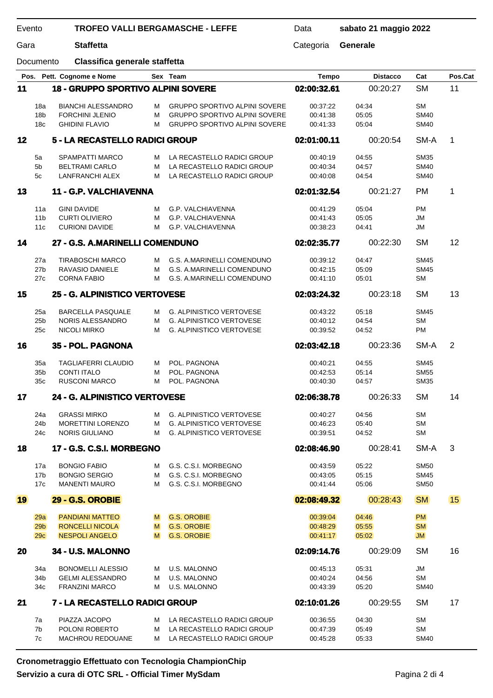| Evento<br>Gara |                        | <b>TROFEO VALLI BERGAMASCHE - LEFFE</b>             | Data   | sabato 21 maggio 2022                                    |                      |                 |                            |         |
|----------------|------------------------|-----------------------------------------------------|--------|----------------------------------------------------------|----------------------|-----------------|----------------------------|---------|
|                |                        | <b>Staffetta</b>                                    |        | Categoria                                                | Generale             |                 |                            |         |
|                | Documento              | Classifica generale staffetta                       |        |                                                          |                      |                 |                            |         |
|                |                        | Pos. Pett. Cognome e Nome                           |        | Sex Team                                                 | <b>Tempo</b>         | <b>Distacco</b> | Cat                        | Pos.Cat |
| 11             |                        | <b>18 - GRUPPO SPORTIVO ALPINI SOVERE</b>           |        |                                                          | 02:00:32.61          | 00:20:27        | <b>SM</b>                  | 11      |
|                | 18a                    | <b>BIANCHI ALESSANDRO</b>                           | м      | <b>GRUPPO SPORTIVO ALPINI SOVERE</b>                     | 00:37:22             | 04:34           | <b>SM</b>                  |         |
|                | 18 <sub>b</sub>        | <b>FORCHINI JLENIO</b>                              | М      | <b>GRUPPO SPORTIVO ALPINI SOVERE</b>                     | 00:41:38             | 05:05           | <b>SM40</b>                |         |
|                | 18 <sub>c</sub>        | <b>GHIDINI FLAVIO</b>                               | М      | <b>GRUPPO SPORTIVO ALPINI SOVERE</b>                     | 00:41:33             | 05:04           | <b>SM40</b>                |         |
| 12             |                        | 5 - LA RECASTELLO RADICI GROUP                      |        |                                                          | 02:01:00.11          | 00:20:54        | SM-A                       | 1       |
|                |                        |                                                     |        |                                                          |                      |                 |                            |         |
|                | 5a                     | <b>SPAMPATTI MARCO</b>                              | м      | LA RECASTELLO RADICI GROUP                               | 00:40:19             | 04:55           | <b>SM35</b>                |         |
|                | 5 <sub>b</sub><br>5c   | <b>BELTRAMI CARLO</b><br><b>LANFRANCHI ALEX</b>     | м<br>м | LA RECASTELLO RADICI GROUP<br>LA RECASTELLO RADICI GROUP | 00:40:34<br>00:40:08 | 04:57<br>04:54  | <b>SM40</b><br><b>SM40</b> |         |
|                |                        |                                                     |        |                                                          |                      |                 |                            |         |
| 13             |                        | 11 - G.P. VALCHIAVENNA                              |        |                                                          | 02:01:32.54          | 00:21:27        | <b>PM</b>                  | 1       |
|                | 11a                    | <b>GINI DAVIDE</b>                                  | м      | G.P. VALCHIAVENNA                                        | 00:41:29             | 05:04           | PM                         |         |
|                | 11 <sub>b</sub>        | <b>CURTI OLIVIERO</b>                               | М      | G.P. VALCHIAVENNA                                        | 00:41:43             | 05:05           | <b>JM</b>                  |         |
|                | 11c                    | <b>CURIONI DAVIDE</b>                               | м      | G.P. VALCHIAVENNA                                        | 00:38:23             | 04:41           | <b>JM</b>                  |         |
| 14             |                        | 27 - G.S. A.MARINELLI COMENDUNO                     |        |                                                          | 02:02:35.77          | 00:22:30        | <b>SM</b>                  | 12      |
|                |                        |                                                     |        |                                                          |                      |                 |                            |         |
|                | 27a                    | <b>TIRABOSCHI MARCO</b>                             | м      | G.S. A.MARINELLI COMENDUNO                               | 00:39:12             | 04:47           | <b>SM45</b>                |         |
|                | 27 <sub>b</sub>        | RAVASIO DANIELE                                     | М      | G.S. A.MARINELLI COMENDUNO                               | 00:42:15             | 05:09           | <b>SM45</b>                |         |
|                | 27c                    | <b>CORNA FABIO</b>                                  | м      | G.S. A.MARINELLI COMENDUNO                               | 00:41:10             | 05:01           | <b>SM</b>                  |         |
| 15             |                        | 25 - G. ALPINISTICO VERTOVESE                       |        |                                                          | 02:03:24.32          | 00:23:18        | <b>SM</b>                  | 13      |
|                | 25a                    | <b>BARCELLA PASQUALE</b>                            | м      | <b>G. ALPINISTICO VERTOVESE</b>                          | 00:43:22             | 05:18           | <b>SM45</b>                |         |
|                | 25 <sub>b</sub>        | NORIS ALESSANDRO                                    | м      | <b>G. ALPINISTICO VERTOVESE</b>                          | 00:40:12             | 04:54           | <b>SM</b>                  |         |
|                | 25c                    | NICOLI MIRKO                                        | м      | <b>G. ALPINISTICO VERTOVESE</b>                          | 00:39:52             | 04:52           | <b>PM</b>                  |         |
| 16             |                        | 35 - POL. PAGNONA                                   |        |                                                          | 02:03:42.18          | 00:23:36        | SM-A                       | 2       |
|                |                        |                                                     |        |                                                          |                      |                 |                            |         |
|                | 35a<br>35b             | <b>TAGLIAFERRI CLAUDIO</b><br><b>CONTI ITALO</b>    | м      | POL. PAGNONA<br>POL. PAGNONA                             | 00:40:21             | 04:55           | <b>SM45</b>                |         |
|                | 35c                    | <b>RUSCONI MARCO</b>                                | М<br>M | POL. PAGNONA                                             | 00:42:53<br>00:40:30 | 05:14<br>04:57  | <b>SM55</b><br><b>SM35</b> |         |
|                |                        |                                                     |        |                                                          |                      |                 |                            |         |
| 17             |                        | 24 - G. ALPINISTICO VERTOVESE                       |        |                                                          | 02:06:38.78          | 00:26:33        | <b>SM</b>                  | 14      |
|                | 24a                    | <b>GRASSI MIRKO</b>                                 | м      | <b>G. ALPINISTICO VERTOVESE</b>                          | 00:40:27             | 04:56           | <b>SM</b>                  |         |
|                | 24 <sub>b</sub>        | <b>MORETTINI LORENZO</b>                            | м      | <b>G. ALPINISTICO VERTOVESE</b>                          | 00:46:23             | 05:40           | <b>SM</b>                  |         |
|                | 24c                    | <b>NORIS GIULIANO</b>                               | м      | <b>G. ALPINISTICO VERTOVESE</b>                          | 00:39:51             | 04:52           | <b>SM</b>                  |         |
| 18             |                        | 17 - G.S. C.S.I. MORBEGNO                           |        |                                                          | 02:08:46.90          | 00:28:41        | SM-A                       | 3       |
|                |                        |                                                     |        |                                                          |                      |                 |                            |         |
|                | 17a                    | <b>BONGIO FABIO</b>                                 | м      | G.S. C.S.I. MORBEGNO                                     | 00:43:59             | 05:22           | <b>SM50</b>                |         |
|                | 17 <sub>b</sub><br>17c | <b>BONGIO SERGIO</b><br><b>MANENTI MAURO</b>        | м<br>м | G.S. C.S.I. MORBEGNO<br>G.S. C.S.I. MORBEGNO             | 00:43:05             | 05:15<br>05:06  | <b>SM45</b><br><b>SM50</b> |         |
|                |                        |                                                     |        |                                                          | 00:41:44             |                 |                            |         |
| 19             |                        | <b>29 - G.S. OROBIE</b>                             |        |                                                          | 02:08:49.32          | 00:28:43        | <b>SM</b>                  | 15      |
|                | 29a                    | <b>PANDIANI MATTEO</b>                              | M      | <b>G.S. OROBIE</b>                                       | 00:39:04             | 04:46           | <b>PM</b>                  |         |
|                | 29 <sub>b</sub>        | <b>RONCELLI NICOLA</b>                              | M      | <b>G.S. OROBIE</b>                                       | 00:48:29             | 05:55           | <b>SM</b>                  |         |
|                | 29 <sub>c</sub>        | <b>NESPOLI ANGELO</b>                               | M      | <b>G.S. OROBIE</b>                                       | 00:41:17             | 05:02           | JM                         |         |
| 20             |                        | 34 - U.S. MALONNO                                   |        |                                                          | 02:09:14.76          | 00:29:09        | <b>SM</b>                  | 16      |
|                |                        |                                                     |        | <b>U.S. MALONNO</b>                                      |                      | 05:31           | <b>JM</b>                  |         |
|                | 34a<br>34b             | <b>BONOMELLI ALESSIO</b><br><b>GELMI ALESSANDRO</b> | м<br>М | U.S. MALONNO                                             | 00:45:13<br>00:40:24 | 04:56           | <b>SM</b>                  |         |
|                | 34 <sub>c</sub>        | <b>FRANZINI MARCO</b>                               | м      | U.S. MALONNO                                             | 00:43:39             | 05:20           | <b>SM40</b>                |         |
|                |                        |                                                     |        |                                                          |                      |                 |                            |         |
| 21             |                        | 7 - LA RECASTELLO RADICI GROUP                      |        |                                                          | 02:10:01.26          | 00:29:55        | <b>SM</b>                  | 17      |
|                | 7a                     | PIAZZA JACOPO                                       | м      | LA RECASTELLO RADICI GROUP                               | 00:36:55             | 04:30           | SМ                         |         |
|                | 7b                     | POLONI ROBERTO                                      | м      | LA RECASTELLO RADICI GROUP                               | 00:47:39             | 05:49           | <b>SM</b>                  |         |
|                | 7c                     | <b>MACHROU REDOUANE</b>                             | м      | LA RECASTELLO RADICI GROUP                               | 00:45:28             | 05:33           | <b>SM40</b>                |         |

**Cronometraggio Effettuato con Tecnologia ChampionChip Servizio a cura di OTC SRL - Official Timer MySdam**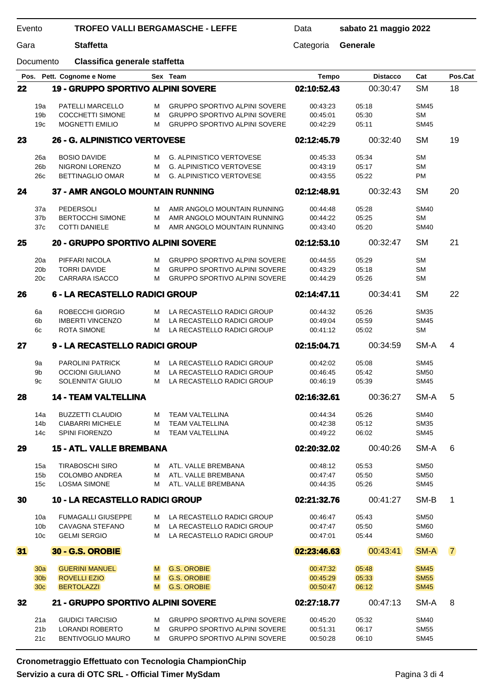| <b>TROFEO VALLI BERGAMASCHE - LEFFE</b><br>Evento<br>Gara<br><b>Staffetta</b> |                 |                                    | Data | sabato 21 maggio 2022                |              |                 |             |                |
|-------------------------------------------------------------------------------|-----------------|------------------------------------|------|--------------------------------------|--------------|-----------------|-------------|----------------|
|                                                                               |                 |                                    |      | Categoria                            | Generale     |                 |             |                |
| Documento                                                                     |                 | Classifica generale staffetta      |      |                                      |              |                 |             |                |
|                                                                               |                 | Pos. Pett. Cognome e Nome          |      | Sex Team                             | <b>Tempo</b> | <b>Distacco</b> | Cat         | Pos.Cat        |
| 22                                                                            |                 | 19 - GRUPPO SPORTIVO ALPINI SOVERE |      |                                      | 02:10:52.43  | 00:30:47        | <b>SM</b>   | 18             |
|                                                                               | 19a             | PATELLI MARCELLO                   | м    | <b>GRUPPO SPORTIVO ALPINI SOVERE</b> | 00:43:23     | 05:18           | <b>SM45</b> |                |
|                                                                               | 19 <sub>b</sub> | <b>COCCHETTI SIMONE</b>            | м    | <b>GRUPPO SPORTIVO ALPINI SOVERE</b> | 00:45:01     | 05:30           | <b>SM</b>   |                |
|                                                                               | 19 <sub>c</sub> | <b>MOGNETTI EMILIO</b>             | м    | <b>GRUPPO SPORTIVO ALPINI SOVERE</b> | 00:42:29     | 05:11           | <b>SM45</b> |                |
| 23                                                                            |                 | 26 - G. ALPINISTICO VERTOVESE      |      |                                      | 02:12:45.79  | 00:32:40        | <b>SM</b>   | 19             |
|                                                                               |                 |                                    |      |                                      |              |                 |             |                |
|                                                                               | 26a             | <b>BOSIO DAVIDE</b>                | м    | <b>G. ALPINISTICO VERTOVESE</b>      | 00:45:33     | 05:34           | <b>SM</b>   |                |
|                                                                               | 26 <sub>b</sub> | NIGRONI LORENZO                    | м    | <b>G. ALPINISTICO VERTOVESE</b>      | 00:43:19     | 05:17           | <b>SM</b>   |                |
|                                                                               | 26c             | <b>BETTINAGLIO OMAR</b>            | м    | <b>G. ALPINISTICO VERTOVESE</b>      | 00:43:55     | 05:22           | PM          |                |
| 24                                                                            |                 | 37 - AMR ANGOLO MOUNTAIN RUNNING   |      |                                      | 02:12:48.91  | 00:32:43        | <b>SM</b>   | 20             |
|                                                                               | 37a             | PEDERSOLI                          | м    | AMR ANGOLO MOUNTAIN RUNNING          | 00:44:48     | 05:28           | <b>SM40</b> |                |
|                                                                               | 37b             | <b>BERTOCCHI SIMONE</b>            | M    | AMR ANGOLO MOUNTAIN RUNNING          | 00:44:22     | 05:25           | <b>SM</b>   |                |
|                                                                               | 37c             | <b>COTTI DANIELE</b>               | м    | AMR ANGOLO MOUNTAIN RUNNING          | 00:43:40     | 05:20           | <b>SM40</b> |                |
|                                                                               |                 |                                    |      |                                      |              |                 |             |                |
| 25                                                                            |                 | 20 - GRUPPO SPORTIVO ALPINI SOVERE |      |                                      | 02:12:53.10  | 00:32:47        | <b>SM</b>   | 21             |
|                                                                               | 20a             | PIFFARI NICOLA                     | м    | <b>GRUPPO SPORTIVO ALPINI SOVERE</b> | 00:44:55     | 05:29           | <b>SM</b>   |                |
|                                                                               | 20 <sub>b</sub> | <b>TORRI DAVIDE</b>                | M    | <b>GRUPPO SPORTIVO ALPINI SOVERE</b> | 00:43:29     | 05:18           | <b>SM</b>   |                |
|                                                                               | 20c             | <b>CARRARA ISACCO</b>              | м    | <b>GRUPPO SPORTIVO ALPINI SOVERE</b> | 00:44:29     | 05:26           | SМ          |                |
| 26                                                                            |                 | 6 - LA RECASTELLO RADICI GROUP     |      |                                      | 02:14:47.11  | 00:34:41        | <b>SM</b>   | 22             |
|                                                                               |                 |                                    |      |                                      |              |                 |             |                |
|                                                                               | 6a              | ROBECCHI GIORGIO                   | м    | LA RECASTELLO RADICI GROUP           | 00:44:32     | 05:26           | <b>SM35</b> |                |
|                                                                               | 6b              | <b>IMBERTI VINCENZO</b>            | м    | LA RECASTELLO RADICI GROUP           | 00:49:04     | 05:59           | <b>SM45</b> |                |
|                                                                               | 6c              | <b>ROTA SIMONE</b>                 | м    | LA RECASTELLO RADICI GROUP           | 00:41:12     | 05:02           | <b>SM</b>   |                |
| 27                                                                            |                 | 9 - LA RECASTELLO RADICI GROUP     |      |                                      | 02:15:04.71  | 00:34:59        | SM-A        | 4              |
|                                                                               | 9a              | <b>PAROLINI PATRICK</b>            | м    | LA RECASTELLO RADICI GROUP           | 00:42:02     | 05:08           | <b>SM45</b> |                |
|                                                                               | 9b              | <b>OCCIONI GIULIANO</b>            | M    | LA RECASTELLO RADICI GROUP           | 00:46:45     | 05:42           | <b>SM50</b> |                |
|                                                                               | 9c              | <b>SOLENNITA' GIULIO</b>           | M    | LA RECASTELLO RADICI GROUP           | 00:46:19     | 05:39           | <b>SM45</b> |                |
|                                                                               |                 |                                    |      |                                      |              |                 |             |                |
| 28                                                                            |                 | <b>14 - TEAM VALTELLINA</b>        |      |                                      | 02:16:32.61  | 00:36:27        | SM-A        | 5              |
|                                                                               | 14a             | <b>BUZZETTI CLAUDIO</b>            | м    | <b>TEAM VALTELLINA</b>               | 00:44:34     | 05:26           | <b>SM40</b> |                |
|                                                                               | 14b             | <b>CIABARRI MICHELE</b>            | м    | <b>TEAM VALTELLINA</b>               | 00:42:38     | 05:12           | <b>SM35</b> |                |
|                                                                               | 14 <sub>c</sub> | <b>SPINI FIORENZO</b>              | м    | <b>TEAM VALTELLINA</b>               | 00:49:22     | 06:02           | SM45        |                |
|                                                                               |                 |                                    |      |                                      |              |                 |             |                |
| 29                                                                            |                 | <b>15 - ATL. VALLE BREMBANA</b>    |      |                                      | 02:20:32.02  | 00:40:26        | SM-A        | 6              |
|                                                                               | 15a             | <b>TIRABOSCHI SIRO</b>             | M    | ATL. VALLE BREMBANA                  | 00:48:12     | 05:53           | <b>SM50</b> |                |
|                                                                               | 15 <sub>b</sub> | <b>COLOMBO ANDREA</b>              | м    | ATL. VALLE BREMBANA                  | 00:47:47     | 05:50           | <b>SM50</b> |                |
|                                                                               | 15 <sub>c</sub> | <b>LOSMA SIMONE</b>                | м    | ATL. VALLE BREMBANA                  | 00:44:35     | 05:26           | <b>SM45</b> |                |
| 30                                                                            |                 | 10 - LA RECASTELLO RADICI GROUP    |      |                                      | 02:21:32.76  | 00:41:27        | SM-B        | 1              |
|                                                                               | 10a             | <b>FUMAGALLI GIUSEPPE</b>          | м    | LA RECASTELLO RADICI GROUP           | 00:46:47     | 05:43           | <b>SM50</b> |                |
|                                                                               | 10 <sub>b</sub> | CAVAGNA STEFANO                    | м    | LA RECASTELLO RADICI GROUP           | 00:47:47     | 05:50           | <b>SM60</b> |                |
|                                                                               |                 |                                    |      |                                      |              |                 | <b>SM60</b> |                |
|                                                                               | 10 <sub>c</sub> | <b>GELMI SERGIO</b>                | м    | LA RECASTELLO RADICI GROUP           | 00:47:01     | 05:44           |             |                |
| 31                                                                            |                 | <b>30 - G.S. OROBIE</b>            |      |                                      | 02:23:46.63  | 00:43:41        | SM-A        | $\overline{7}$ |
|                                                                               | 30a             | <b>GUERINI MANUEL</b>              | M    | <b>G.S. OROBIE</b>                   | 00:47:32     | 05:48           | <b>SM45</b> |                |
|                                                                               | 30 <sub>b</sub> | <b>ROVELLI EZIO</b>                | M    | <b>G.S. OROBIE</b>                   | 00:45:29     | 05:33           | <b>SM55</b> |                |
|                                                                               | 30 <sub>c</sub> | <b>BERTOLAZZI</b>                  | M    | <b>G.S. OROBIE</b>                   | 00:50:47     | 06:12           | <b>SM45</b> |                |
|                                                                               |                 |                                    |      |                                      |              |                 |             |                |
| 32                                                                            |                 | 21 - GRUPPO SPORTIVO ALPINI SOVERE |      |                                      | 02:27:18.77  | 00:47:13        | SM-A        | 8              |
|                                                                               | 21a             | <b>GIUDICI TARCISIO</b>            | м    | <b>GRUPPO SPORTIVO ALPINI SOVERE</b> | 00:45:20     | 05:32           | <b>SM40</b> |                |
|                                                                               | 21 <sub>b</sub> | <b>LORANDI ROBERTO</b>             | м    | <b>GRUPPO SPORTIVO ALPINI SOVERE</b> | 00:51:31     | 06:17           | <b>SM55</b> |                |
|                                                                               | 21c             | <b>BENTIVOGLIO MAURO</b>           | м    | <b>GRUPPO SPORTIVO ALPINI SOVERE</b> | 00:50:28     | 06:10           | <b>SM45</b> |                |

**Cronometraggio Effettuato con Tecnologia ChampionChip Servizio a cura di OTC SRL - Official Timer MySdam**